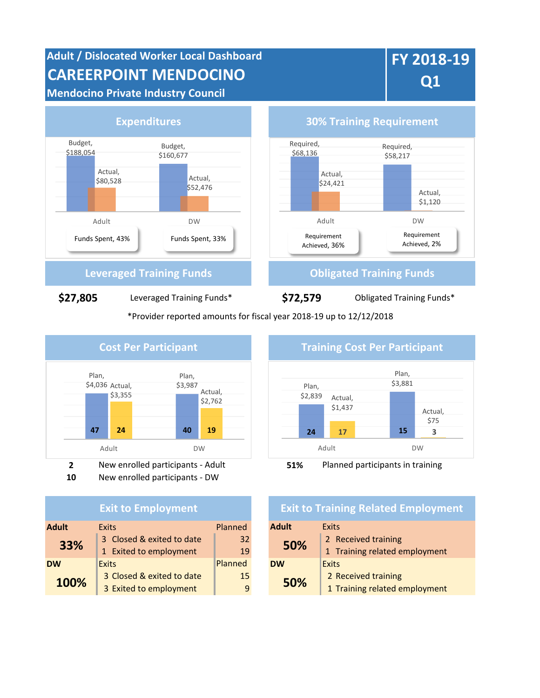# **Adult / Dislocated Worker Local Dashboard CAREERPOINT MENDOCINO**

**Mendocino Private Industry Council**

# **FY 2018-19 Q1**



\*Provider reported amounts for fiscal year 2018-19 up to 12/12/2018



**10** New enrolled participants - DW

### **Exit to Employment**

| <b>Adult</b><br><b>Exits</b> |                           | <b>Adult</b><br>Planned |                     | <b>Exits</b>                  |  |
|------------------------------|---------------------------|-------------------------|---------------------|-------------------------------|--|
| 33%                          | 3 Closed & exited to date | 32 <sup>2</sup><br>50%  | 2 Received training |                               |  |
|                              | 1 Exited to employment    | 19                      |                     | 1 Training related employment |  |
| <b>DW</b>                    | <b>Exits</b>              | Planned                 | <b>DW</b>           | <b>Exits</b>                  |  |
| 100%                         | 3 Closed & exited to date | 15                      | 50%                 | 2 Received training           |  |
|                              | 3 Exited to employment    | 9                       |                     | 1 Training related employment |  |



## **Exit to Training Related Employment**

| <b>Adult</b> | Exits                         |  |  |  |
|--------------|-------------------------------|--|--|--|
| 50%          | 2 Received training           |  |  |  |
|              | 1 Training related employment |  |  |  |
| <b>DW</b>    | <b>Exits</b>                  |  |  |  |
| 50%          | 2 Received training           |  |  |  |
|              | 1 Training related employment |  |  |  |